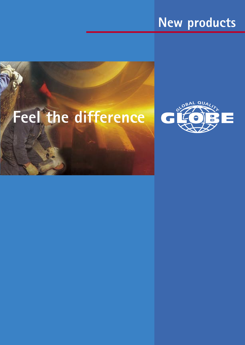# **New products**



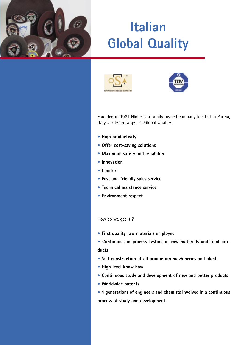

# **Italian Global Quality**





Founded in 1961 Globe is a family owned company located in Parma, Italy.Our team target is...Global Quality:

- **High productivity**
- **Offer cost-saving solutions**
- **Maximum safety and reliability**
- **Innovation**
- **Comfort**
- **Fast and friendly sales service**
- **Technical assistance service**
- **Environment respect**

How do we get it ?

- **First quality raw materials employed**
- **Continuous in process testing of raw materials and final products**
- **Self construction of all production machineries and plants**
- **High level know how**
- **Continuous study and development of new and better products**
- **Worldwide patents**
- **4 generations of engineers and chemists involved in a continuous process of study and development**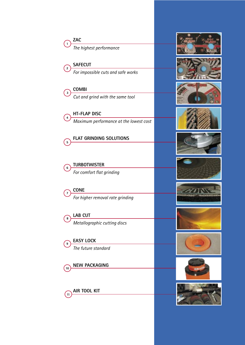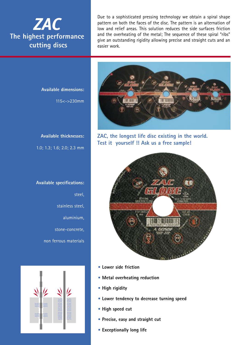## *ZAC* **The highest performance cutting discs**

Due to a sophisticated pressing technology we obtain a spiral shape pattern on both the faces of the disc. The pattern is an alternation of low and relief areas. This solution reduces the side surfaces friction and the overheating of the metal; The sequence of these spiral "ribs" give an outstanding rigidity allowing precise and straight cuts and an easier work.

**Available dimensions:**

115<->230mm

### **Available thicknesses:**

1.0; 1.3; 1.6; 2.0; 2.3 mm

**Available specifications:** steel, stainless steel, aluminium, stone-concrete, non ferrous materials





**ZAC, the longest life disc existing in the world. Test it yourself !! Ask us a free sample!** 



- **Lower side friction**
- **Metal overheating reduction**
- **High rigidity**
- **Lower tendency to decrease turning speed**
- **High speed cut**
- **Precise, easy and straight cut**
- **Exceptionally long life**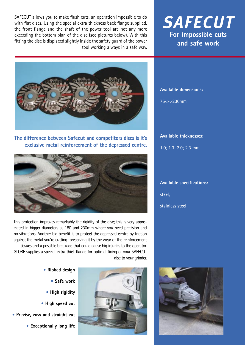SAFECUT allows you to make flush cuts, an operation impossible to do with flat discs. Using the special extra thickness back flange supplied, the front flange and the shaft of the power tool are not any more exceeding the bottom plan of the disc (see pictures below). With this fitting the disc is displaced slightly inside the safety guard of the power tool working always in a safe way.





**The difference between Safecut and competitors discs is it's exclusive metal reinforcement of the depressed centre.** 



This protection improves remarkably the rigidity of the disc; this is very appreciated in bigger diameters as 180 and 230mm where you need precision and no vibrations. Another big benefit is to protect the depressed centre by friction against the metal you're cutting preserving it by the wear of the reinforcement tissues and a possible breakage that could cause big injuries to the operator. GLOBE supplies a special extra thick flange for optimal fixing of your SAFECUT

- **Ribbed design**
	- **Safe work**
	- **High rigidity**
- **High speed cut**
- **Precise, easy and straight cut** 
	- **Exceptionally long life**



disc to your grinder.



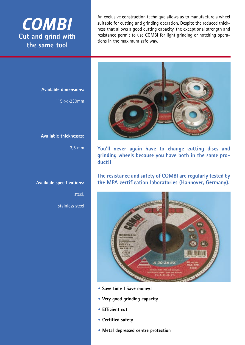## *COMBI* **Cut and grind with the same tool**

An exclusive construction technique allows us to manufacture a wheel suitable for cutting and grinding operation. Despite the reduced thickness that allows a good cutting capacity, the exceptional strength and resistance permit to use COMBI for light grinding or notching operations in the maximum safe way.

**Available dimensions:**

115<->230mm

**Available thicknesses:**

3,5 mm

**Available specifications:**

steel,

stainless steel



**You'll never again have to change cutting discs and grinding wheels because you have both in the same product!!**

**The resistance and safety of COMBI are regularly tested by the MPA certification laboratories (Hannover, Germany).**



- **Save time ! Save money!**
- **Very good grinding capacity**
- **Efficient cut**
- **Certified safety**
- **Metal depressed centre protection**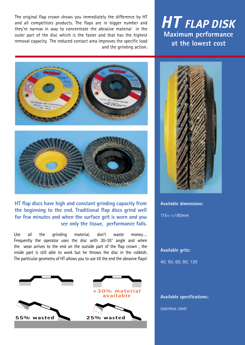The original flap crown shows you immediately the difference by HT and all competitors products. The flaps are in bigger number and they're narrow in way to concentrate the abrasive material in the outer part of the disc which is the faster and that has the highest removal capacity. The reduced contact area improves the specific load and the grinding action.

*HT FLAP DISK* **Maximum performance at the lowest cost**





**HT flap discs have high and constant grinding capacity from the beginning to the end. Traditional flap discs grind well for few minutes and when the surface grit is worn and you see only the tissue, performance falls.**

Use all the grinding material, don't waste money…. Frequently the operator uses the disc with 30-35° angle and when the wear arrives to the end on the outside part of the flap crown , the inside part is still able to work but he throws the disc in the rubbish. The particular geometry of HT allows you to use till the end the abrasive flaps!





**Available dimensions:**

115<->180mm

**Available grits:** 40; 50; 60; 80; 120

#### **Available specifications:**

stainless steel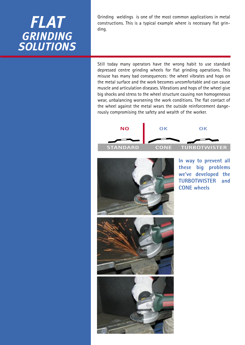## *FLAT GRINDING SOLUTIONS*

Grinding weldings is one of the most common applications in metal constructions. This is a typical example where is necessary flat grinding.

Still today many operators have the wrong habit to use standard depressed centre grinding wheels for flat grinding operations. This misuse has many bad consequences: the wheel vibrates and hops on the metal surface and the work becomes uncomfortable and can cause muscle and articulation diseases. Vibrations and hops of the wheel give big shocks and stress to the wheel structure causing non homogeneous wear, unbalancing worsening the work conditions. The flat contact of the wheel against the metal wears the outside reinforcement dangerously compromising the safety and wealth of the worker.

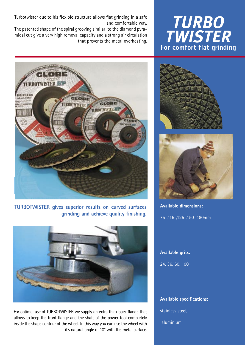## *TURBO TWISTER* **For comfort flat grinding**

Turbotwister due to his flexible structure allows flat grinding in a safe and comfortable way.

The patented shape of the spiral grooving similar to the diamond pyramidal cut give a very high removal capacity and a strong air circulation that prevents the metal overheating.



**TURBOTWISTER gives superior results on curved surfaces grinding and achieve quality finishing.**



For optimal use of TURBOTWISTER we supply an extra thick back flange that allows to keep the front flange and the shaft of the power tool completely inside the shape contour of the wheel. In this way you can use the wheel with it's natural angle of 10° with the metal surface.





**Available dimensions:** 75 ;115 ;125 ;150 ;180mm

**Available grits:** 24, 36, 60, 100

**Available specifications:** stainless steel, aluminium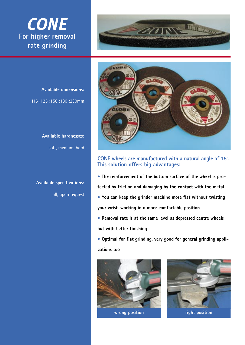



**Available dimensions:** 115 ;125 ;150 ;180 ;230mm

**Available hardnesses:** soft, medium, hard

**Available specifications:** all, upon request



#### **CONE wheels are manufactured with a natural angle of 15°. This solution offers big advantages:**

**• The reinforcement of the bottom surface of the wheel is pro-**

**tected by friction and damaging by the contact with the metal**

- **You can keep the grinder machine more flat without twisting your wrist, working in a more comfortable position**
- **Removal rate is at the same level as depressed centre wheels**

**but with better finishing**

**• Optimal for flat grinding, very good for general grinding applications too**



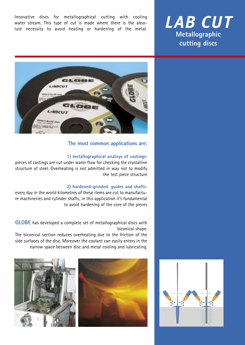Innovative discs for metallographical cutting with cooling water stream. This type of cut is made where there is the absolute necessity to avoid heating or hardening of the metal.

## *LAB CUT* **Metallographic cutting discs**



#### **The most common applications are:**

#### **1) metallographical analisys of castings:**

pieces of castings are cut under water flow for checking the crystalline structure of steel. Overheating is not admitted in way not to modify the test piece structure

#### **2) hardened-grinded guides and shafts:**

every day in the world kilometres of these items are cut to manufacture machineries and cylinder shafts; in this application it's fundamental to avoid hardening of the core of the pieces

**GLOBE** has developed a complete set of metallographical discs with biconical shape.

The biconical section reduces overheating due to the friction of the side surfaces of the disc. Moreover the coolant can easily enters in the narrow space between disc and metal cooling and lubricating.



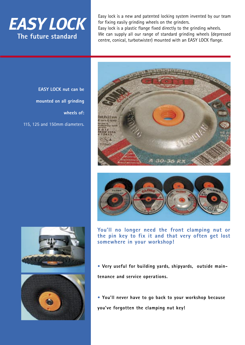*EASY LOCK* **The future standard**

Easy lock is a new and patented locking system invented by our team for fixing easily grinding wheels on the grinders.

Easy lock is a plastic flange fixed directly to the grinding wheels. We can supply all our range of standard grinding wheels (depressed centre, conical, turbotwister) mounted with an EASY LOCK flange.

**EASY LOCK nut can be mounted on all grinding wheels of:** 

115, 125 and 150mm diameters.





**You'll no longer need the front clamping nut or the pin key to fix it and that very often get lost somewhere in your workshop!**

**• Very useful for building yards, shipyards, outside maintenance and service operations.** 

**• You'll never have to go back to your workshop because you've forgotten the clamping nut key!**

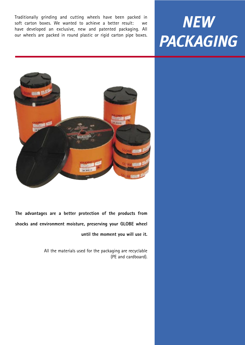Traditionally grinding and cutting wheels have been packed in soft carton boxes. We wanted to achieve a better result: we have developed an exclusive, new and patented packaging. All our wheels are packed in round plastic or rigid carton pipe boxes.

# *NEW PACKAGING*



**The advantages are a better protection of the products from shocks and environment moisture, preserving your GLOBE wheel until the moment you will use it.**

> All the materials used for the packaging are recyclable (PE and cardboard).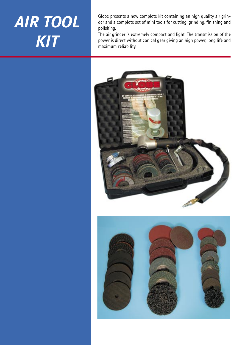# *AIR TOOL KIT*

Globe presents a new complete kit containing an high quality air grinder and a complete set of mini tools for cutting, grinding, finishing and polishing.

The air grinder is extremely compact and light. The transmission of the power is direct without conical gear giving an high power, long life and maximum reliability.

![](_page_13_Picture_3.jpeg)

![](_page_13_Picture_4.jpeg)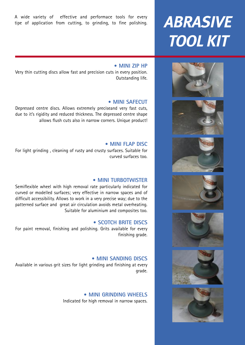A wide variety of effective and performace tools for every tipe of application from cutting, to grinding, to fine polishing.

# *ABRASIVE TOOL KIT*

![](_page_14_Picture_2.jpeg)

![](_page_14_Picture_3.jpeg)

![](_page_14_Picture_4.jpeg)

![](_page_14_Picture_5.jpeg)

![](_page_14_Picture_6.jpeg)

![](_page_14_Picture_7.jpeg)

![](_page_14_Picture_8.jpeg)

#### **• MINI ZIP HP**

Very thin cutting discs allow fast and precision cuts in every position. Outstanding life.

#### **• MINI SAFECUT**

Depressed centre discs. Allows extremely preciseand very fast cuts, due to it's rigidity and reduced thickness. The depressed centre shape allows flush cuts also in narrow corners. Unique product!

#### **• MINI FLAP DISC**

For light grinding , cleaning of rusty and crusty surfaces. Suitable for curved surfaces too.

#### **• MINI TURBOTWISTER**

Semiflexible wheel with high removal rate particularly indicated for curved or modelled surfaces; very effective in narrow spaces and of difficult accessibility. Allows to work in a very precise way; due to the patterned surface and great air circulation avoids metal overheating. Suitable for aluminium and composites too.

#### **• SCOTCH BRITE DISCS**

For paint removal, finishing and polishing. Grits available for every finishing grade.

#### **• MINI SANDING DISCS**

Available in various grit sizes for light grinding and finishing at every grade.

#### **• MINI GRINDING WHEELS**

Indicated for high removal in narrow spaces.